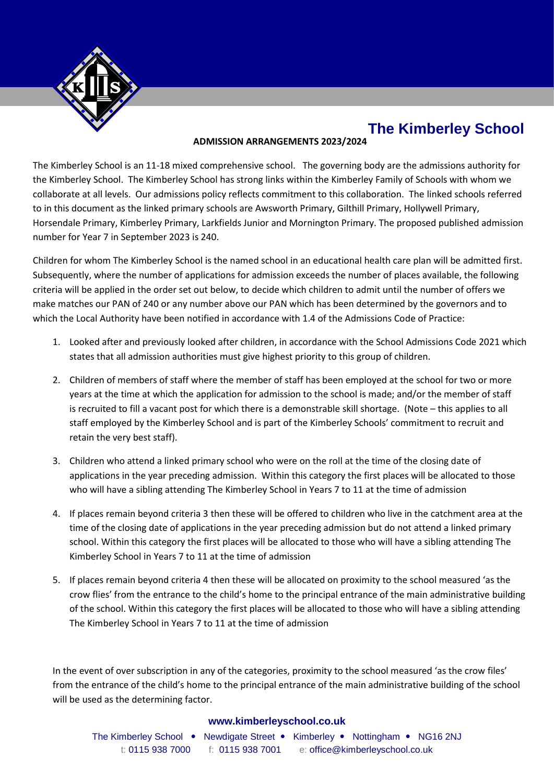

# **The Kimberley School**

## **ADMISSION ARRANGEMENTS 2023/2024**

The Kimberley School is an 11-18 mixed comprehensive school. The governing body are the admissions authority for the Kimberley School. The Kimberley School has strong links within the Kimberley Family of Schools with whom we collaborate at all levels. Our admissions policy reflects commitment to this collaboration. The linked schools referred to in this document as the linked primary schools are Awsworth Primary, Gilthill Primary, Hollywell Primary, Horsendale Primary, Kimberley Primary, Larkfields Junior and Mornington Primary. The proposed published admission number for Year 7 in September 2023 is 240.

Children for whom The Kimberley School is the named school in an educational health care plan will be admitted first. Subsequently, where the number of applications for admission exceeds the number of places available, the following criteria will be applied in the order set out below, to decide which children to admit until the number of offers we make matches our PAN of 240 or any number above our PAN which has been determined by the governors and to which the Local Authority have been notified in accordance with 1.4 of the Admissions Code of Practice:

- 1. Looked after and previously looked after children, in accordance with the School Admissions Code 2021 which states that all admission authorities must give highest priority to this group of children.
- 2. Children of members of staff where the member of staff has been employed at the school for two or more years at the time at which the application for admission to the school is made; and/or the member of staff is recruited to fill a vacant post for which there is a demonstrable skill shortage. (Note – this applies to all staff employed by the Kimberley School and is part of the Kimberley Schools' commitment to recruit and retain the very best staff).
- 3. Children who attend a linked primary school who were on the roll at the time of the closing date of applications in the year preceding admission. Within this category the first places will be allocated to those who will have a sibling attending The Kimberley School in Years 7 to 11 at the time of admission
- 4. If places remain beyond criteria 3 then these will be offered to children who live in the catchment area at the time of the closing date of applications in the year preceding admission but do not attend a linked primary school. Within this category the first places will be allocated to those who will have a sibling attending The Kimberley School in Years 7 to 11 at the time of admission
- 5. If places remain beyond criteria 4 then these will be allocated on proximity to the school measured 'as the crow flies' from the entrance to the child's home to the principal entrance of the main administrative building of the school. Within this category the first places will be allocated to those who will have a sibling attending The Kimberley School in Years 7 to 11 at the time of admission

In the event of over subscription in any of the categories, proximity to the school measured 'as the crow files' from the entrance of the child's home to the principal entrance of the main administrative building of the school will be used as the determining factor.

## **www.kimberleyschool.co.uk**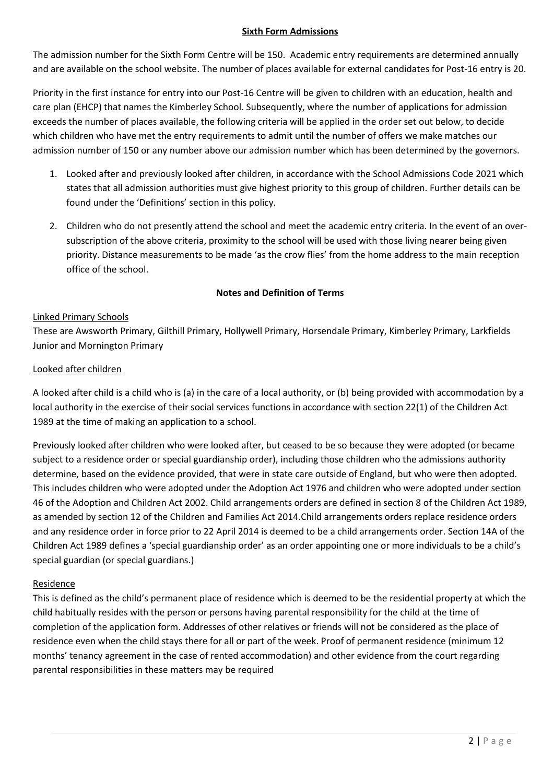## **Sixth Form Admissions**

The admission number for the Sixth Form Centre will be 150. Academic entry requirements are determined annually and are available on the school website. The number of places available for external candidates for Post-16 entry is 20.

Priority in the first instance for entry into our Post-16 Centre will be given to children with an education, health and care plan (EHCP) that names the Kimberley School. Subsequently, where the number of applications for admission exceeds the number of places available, the following criteria will be applied in the order set out below, to decide which children who have met the entry requirements to admit until the number of offers we make matches our admission number of 150 or any number above our admission number which has been determined by the governors.

- 1. Looked after and previously looked after children, in accordance with the School Admissions Code 2021 which states that all admission authorities must give highest priority to this group of children. Further details can be found under the 'Definitions' section in this policy.
- 2. Children who do not presently attend the school and meet the academic entry criteria. In the event of an oversubscription of the above criteria, proximity to the school will be used with those living nearer being given priority. Distance measurements to be made 'as the crow flies' from the home address to the main reception office of the school.

# **Notes and Definition of Terms**

## Linked Primary Schools

These are Awsworth Primary, Gilthill Primary, Hollywell Primary, Horsendale Primary, Kimberley Primary, Larkfields Junior and Mornington Primary

#### Looked after children

A looked after child is a child who is (a) in the care of a local authority, or (b) being provided with accommodation by a local authority in the exercise of their social services functions in accordance with section 22(1) of the Children Act 1989 at the time of making an application to a school.

Previously looked after children who were looked after, but ceased to be so because they were adopted (or became subject to a residence order or special guardianship order), including those children who the admissions authority determine, based on the evidence provided, that were in state care outside of England, but who were then adopted. This includes children who were adopted under the Adoption Act 1976 and children who were adopted under section 46 of the Adoption and Children Act 2002. Child arrangements orders are defined in section 8 of the Children Act 1989, as amended by section 12 of the Children and Families Act 2014.Child arrangements orders replace residence orders and any residence order in force prior to 22 April 2014 is deemed to be a child arrangements order. Section 14A of the Children Act 1989 defines a 'special guardianship order' as an order appointing one or more individuals to be a child's special guardian (or special guardians.)

## Residence

This is defined as the child's permanent place of residence which is deemed to be the residential property at which the child habitually resides with the person or persons having parental responsibility for the child at the time of completion of the application form. Addresses of other relatives or friends will not be considered as the place of residence even when the child stays there for all or part of the week. Proof of permanent residence (minimum 12 months' tenancy agreement in the case of rented accommodation) and other evidence from the court regarding parental responsibilities in these matters may be required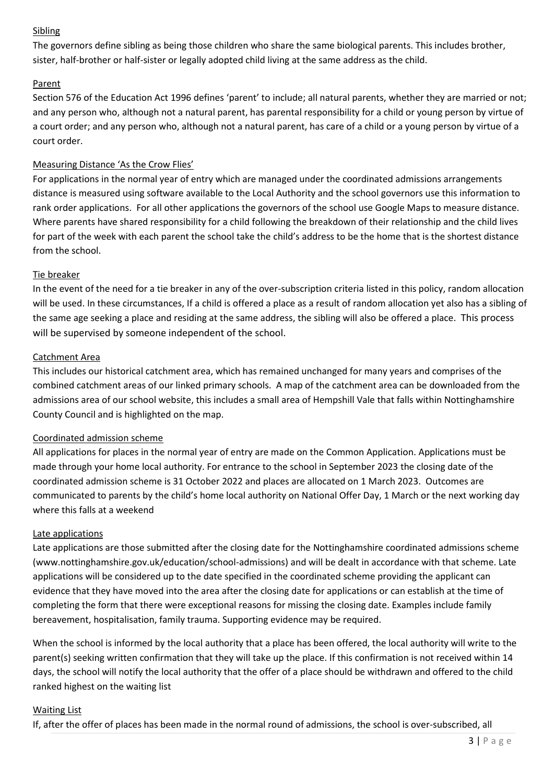# Sibling

The governors define sibling as being those children who share the same biological parents. This includes brother, sister, half-brother or half-sister or legally adopted child living at the same address as the child.

# Parent

Section 576 of the Education Act 1996 defines 'parent' to include; all natural parents, whether they are married or not; and any person who, although not a natural parent, has parental responsibility for a child or young person by virtue of a court order; and any person who, although not a natural parent, has care of a child or a young person by virtue of a court order.

# Measuring Distance 'As the Crow Flies'

For applications in the normal year of entry which are managed under the coordinated admissions arrangements distance is measured using software available to the Local Authority and the school governors use this information to rank order applications. For all other applications the governors of the school use Google Maps to measure distance. Where parents have shared responsibility for a child following the breakdown of their relationship and the child lives for part of the week with each parent the school take the child's address to be the home that is the shortest distance from the school.

# Tie breaker

In the event of the need for a tie breaker in any of the over-subscription criteria listed in this policy, random allocation will be used. In these circumstances, If a child is offered a place as a result of random allocation yet also has a sibling of the same age seeking a place and residing at the same address, the sibling will also be offered a place. This process will be supervised by someone independent of the school.

# Catchment Area

This includes our historical catchment area, which has remained unchanged for many years and comprises of the combined catchment areas of our linked primary schools. A map of the catchment area can be downloaded from the admissions area of our school website, this includes a small area of Hempshill Vale that falls within Nottinghamshire County Council and is highlighted on the map.

# Coordinated admission scheme

All applications for places in the normal year of entry are made on the Common Application. Applications must be made through your home local authority. For entrance to the school in September 2023 the closing date of the coordinated admission scheme is 31 October 2022 and places are allocated on 1 March 2023. Outcomes are communicated to parents by the child's home local authority on National Offer Day, 1 March or the next working day where this falls at a weekend

## Late applications

Late applications are those submitted after the closing date for the Nottinghamshire coordinated admissions scheme (www.nottinghamshire.gov.uk/education/school-admissions) and will be dealt in accordance with that scheme. Late applications will be considered up to the date specified in the coordinated scheme providing the applicant can evidence that they have moved into the area after the closing date for applications or can establish at the time of completing the form that there were exceptional reasons for missing the closing date. Examples include family bereavement, hospitalisation, family trauma. Supporting evidence may be required.

When the school is informed by the local authority that a place has been offered, the local authority will write to the parent(s) seeking written confirmation that they will take up the place. If this confirmation is not received within 14 days, the school will notify the local authority that the offer of a place should be withdrawn and offered to the child ranked highest on the waiting list

## Waiting List

If, after the offer of places has been made in the normal round of admissions, the school is over-subscribed, all